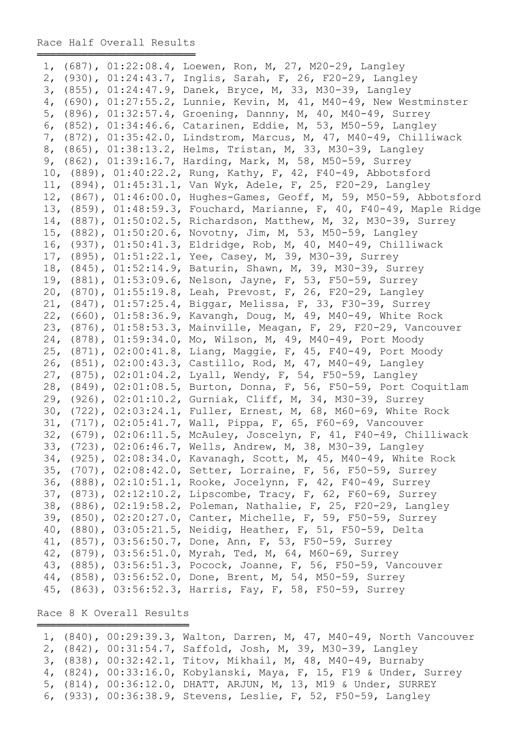═════════════════════════════════

|  | 1, (687), 01:22:08.4, Loewen, Ron, M, 27, M20-29, Langley             |
|--|-----------------------------------------------------------------------|
|  | 2, (930), 01:24:43.7, Inglis, Sarah, F, 26, F20-29, Langley           |
|  | 3, (855), 01:24:47.9, Danek, Bryce, M, 33, M30-39, Langley            |
|  | 4, (690), 01:27:55.2, Lunnie, Kevin, M, 41, M40-49, New Westminster   |
|  | 5, (896), 01:32:57.4, Groening, Dannny, M, 40, M40-49, Surrey         |
|  | 6, (852), 01:34:46.6, Catarinen, Eddie, M, 53, M50-59, Langley        |
|  | 7, (872), 01:35:42.0, Lindstrom, Marcus, M, 47, M40-49, Chilliwack    |
|  | 8, (865), 01:38:13.2, Helms, Tristan, M, 33, M30-39, Langley          |
|  | 9, (862), 01:39:16.7, Harding, Mark, M, 58, M50-59, Surrey            |
|  | 10, (889), 01:40:22.2, Rung, Kathy, F, 42, F40-49, Abbotsford         |
|  | 11, (894), 01:45:31.1, Van Wyk, Adele, F, 25, F20-29, Langley         |
|  | 12, (867), 01:46:00.0, Hughes-Games, Geoff, M, 59, M50-59, Abbotsford |
|  | 13, (859), 01:48:59.3, Fouchard, Marianne, F, 40, F40-49, Maple Ridge |
|  | 14, (887), 01:50:02.5, Richardson, Matthew, M, 32, M30-39, Surrey     |
|  | 15, (882), 01:50:20.6, Novotny, Jim, M, 53, M50-59, Langley           |
|  | 16, (937), 01:50:41.3, Eldridge, Rob, M, 40, M40-49, Chilliwack       |
|  | 17, (895), 01:51:22.1, Yee, Casey, M, 39, M30-39, Surrey              |
|  | 18, (845), 01:52:14.9, Baturin, Shawn, M, 39, M30-39, Surrey          |
|  | 19, (881), 01:53:09.6, Nelson, Jayne, F, 53, F50-59, Surrey           |
|  | 20, (870), 01:55:19.8, Leah, Prevost, F, 26, F20-29, Langley          |
|  | 21, (847), 01:57:25.4, Biggar, Melissa, F, 33, F30-39, Surrey         |
|  | 22, (660), 01:58:36.9, Kavangh, Doug, M, 49, M40-49, White Rock       |
|  | 23, (876), 01:58:53.3, Mainville, Meagan, F, 29, F20-29, Vancouver    |
|  | 24, (878), 01:59:34.0, Mo, Wilson, M, 49, M40-49, Port Moody          |
|  | 25, (871), 02:00:41.8, Liang, Maggie, F, 45, F40-49, Port Moody       |
|  | 26, (851), 02:00:43.3, Castillo, Rod, M, 47, M40-49, Langley          |
|  | 27, (875), 02:01:04.2, Lyall, Wendy, F, 54, F50-59, Langley           |
|  | 28, (849), 02:01:08.5, Burton, Donna, F, 56, F50-59, Port Coquitlam   |
|  | 29, (926), 02:01:10.2, Gurniak, Cliff, M, 34, M30-39, Surrey          |
|  | 30, (722), 02:03:24.1, Fuller, Ernest, M, 68, M60-69, White Rock      |
|  | 31, (717), 02:05:41.7, Wall, Pippa, F, 65, F60-69, Vancouver          |
|  | 32, (679), 02:06:11.5, McAuley, Joscelyn, F, 41, F40-49, Chilliwack   |
|  | 33, (723), 02:06:46.7, Wells, Andrew, M, 38, M30-39, Langley          |
|  | 34, (925), 02:08:34.0, Kavanagh, Scott, M, 45, M40-49, White Rock     |
|  | 35, (707), 02:08:42.0, Setter, Lorraine, F, 56, F50-59, Surrey        |
|  | 36, (888), 02:10:51.1, Rooke, Jocelynn, F, 42, F40-49, Surrey         |
|  | 37, (873), 02:12:10.2, Lipscombe, Tracy, F, 62, F60-69, Surrey        |
|  | 38, (886), 02:19:58.2, Poleman, Nathalie, F, 25, F20-29, Langley      |
|  | 39, (850), 02:20:27.0, Canter, Michelle, F, 59, F50-59, Surrey        |
|  | 40, (880), 03:05:21.5, Neidig, Heather, F, 51, F50-59, Delta          |
|  | 41, (857), 03:56:50.7, Done, Ann, F, 53, F50-59, Surrey               |
|  | 42, (879), 03:56:51.0, Myrah, Ted, M, 64, M60-69, Surrey              |
|  | 43, (885), 03:56:51.3, Pocock, Joanne, F, 56, F50-59, Vancouver       |
|  | 44, (858), 03:56:52.0, Done, Brent, M, 54, M50-59, Surrey             |
|  | 45, (863), 03:56:52.3, Harris, Fay, F, 58, F50-59, Surrey             |

Race 8 K Overall Results ═══════════════════════════════

|  | 1, (840), 00:29:39.3, Walton, Darren, M, 47, M40-49, North Vancouver |
|--|----------------------------------------------------------------------|
|  | 2, (842), 00:31:54.7, Saffold, Josh, M, 39, M30-39, Langley          |
|  | 3, (838), 00:32:42.1, Titov, Mikhail, M, 48, M40-49, Burnaby         |
|  | 4, (824), 00:33:16.0, Kobylanski, Maya, F, 15, F19 & Under, Surrey   |
|  | 5, (814), 00:36:12.0, DHATT, ARJUN, M, 13, M19 & Under, SURREY       |
|  | 6, (933), 00:36:38.9, Stevens, Leslie, F, 52, F50-59, Langley        |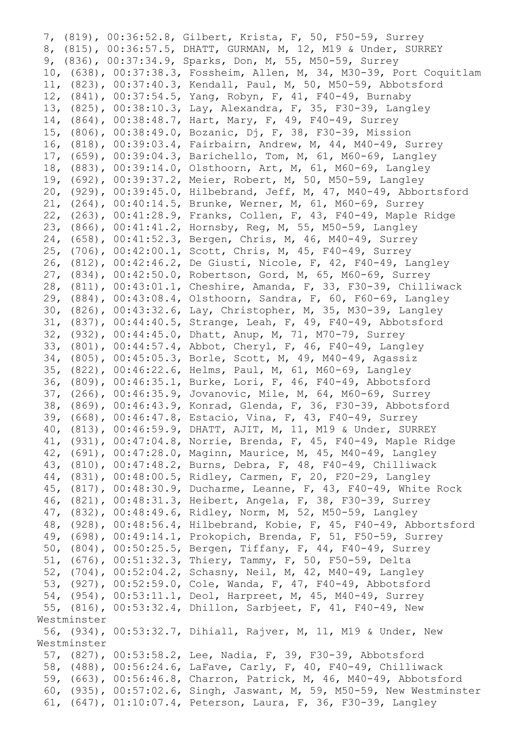7, (819), 00:36:52.8, Gilbert, Krista, F, 50, F50-59, Surrey 8, (815), 00:36:57.5, DHATT, GURMAN, M, 12, M19 & Under, SURREY 9, (836), 00:37:34.9, Sparks, Don, M, 55, M50-59, Surrey 10, (638), 00:37:38.3, Fossheim, Allen, M, 34, M30-39, Port Coquitlam 11, (823), 00:37:40.3, Kendall, Paul, M, 50, M50-59, Abbotsford 12, (841), 00:37:54.5, Yang, Robyn, F, 41, F40-49, Burnaby 13, (825), 00:38:10.3, Lay, Alexandra, F, 35, F30-39, Langley 14, (864), 00:38:48.7, Hart, Mary, F, 49, F40-49, Surrey 15, (806), 00:38:49.0, Bozanic, Dj, F, 38, F30-39, Mission 16, (818), 00:39:03.4, Fairbairn, Andrew, M, 44, M40-49, Surrey 17, (659), 00:39:04.3, Barichello, Tom, M, 61, M60-69, Langley 18, (883), 00:39:14.0, Olsthoorn, Art, M, 61, M60-69, Langley 19, (692), 00:39:37.2, Meier, Robert, M, 50, M50-59, Langley 20, (929), 00:39:45.0, Hilbebrand, Jeff, M, 47, M40-49, Abbortsford 21, (264), 00:40:14.5, Brunke, Werner, M, 61, M60-69, Surrey 22, (263), 00:41:28.9, Franks, Collen, F, 43, F40-49, Maple Ridge 23, (866), 00:41:41.2, Hornsby, Reg, M, 55, M50-59, Langley 24, (658), 00:41:52.3, Bergen, Chris, M, 46, M40-49, Surrey 25, (706), 00:42:00.1, Scott, Chris, M, 45, F40-49, Surrey 26, (812), 00:42:46.2, De Giusti, Nicole, F, 42, F40-49, Langley 27, (834), 00:42:50.0, Robertson, Gord, M, 65, M60-69, Surrey 28, (811), 00:43:01.1, Cheshire, Amanda, F, 33, F30-39, Chilliwack 29, (884), 00:43:08.4, Olsthoorn, Sandra, F, 60, F60-69, Langley 30, (826), 00:43:32.6, Lay, Christopher, M, 35, M30-39, Langley 31, (837), 00:44:40.5, Strange, Leah, F, 49, F40-49, Abbotsford 32, (932), 00:44:45.0, Dhatt, Anup, M, 71, M70-79, Surrey 33, (801), 00:44:57.4, Abbot, Cheryl, F, 46, F40-49, Langley 34, (805), 00:45:05.3, Borle, Scott, M, 49, M40-49, Agassiz 35, (822), 00:46:22.6, Helms, Paul, M, 61, M60-69, Langley 36, (809), 00:46:35.1, Burke, Lori, F, 46, F40-49, Abbotsford 37, (266), 00:46:35.9, Jovanovic, Mile, M, 64, M60-69, Surrey 38, (869), 00:46:43.9, Konrad, Glenda, F, 36, F30-39, Abbotsford 39, (668), 00:46:47.8, Estacio, Vina, F, 43, F40-49, Surrey 40, (813), 00:46:59.9, DHATT, AJIT, M, 11, M19 & Under, SURREY 41, (931), 00:47:04.8, Norrie, Brenda, F, 45, F40-49, Maple Ridge 42, (691), 00:47:28.0, Maginn, Maurice, M, 45, M40-49, Langley 43, (810), 00:47:48.2, Burns, Debra, F, 48, F40-49, Chilliwack 44, (831), 00:48:00.5, Ridley, Carmen, F, 20, F20-29, Langley 45, (817), 00:48:30.9, Ducharme, Leanne, F, 43, F40-49, White Rock 46, (821), 00:48:31.3, Heibert, Angela, F, 38, F30-39, Surrey 47, (832), 00:48:49.6, Ridley, Norm, M, 52, M50-59, Langley 48, (928), 00:48:56.4, Hilbebrand, Kobie, F, 45, F40-49, Abbortsford 49, (698), 00:49:14.1, Prokopich, Brenda, F, 51, F50-59, Surrey 50, (804), 00:50:25.5, Bergen, Tiffany, F, 44, F40-49, Surrey 51, (676), 00:51:32.3, Thiery, Tammy, F, 50, F50-59, Delta 52, (704), 00:52:04.2, Schasny, Neil, M, 42, M40-49, Langley 53, (927), 00:52:59.0, Cole, Wanda, F, 47, F40-49, Abbotsford 54, (954), 00:53:11.1, Deol, Harpreet, M, 45, M40-49, Surrey 55, (816), 00:53:32.4, Dhillon, Sarbjeet, F, 41, F40-49, New Westminster 56, (934), 00:53:32.7, Dihiall, Rajver, M, 11, M19 & Under, New Westminster 57, (827), 00:53:58.2, Lee, Nadia, F, 39, F30-39, Abbotsford 58, (488), 00:56:24.6, LaFave, Carly, F, 40, F40-49, Chilliwack 59, (663), 00:56:46.8, Charron, Patrick, M, 46, M40-49, Abbotsford 60, (935), 00:57:02.6, Singh, Jaswant, M, 59, M50-59, New Westminster 61, (647), 01:10:07.4, Peterson, Laura, F, 36, F30-39, Langley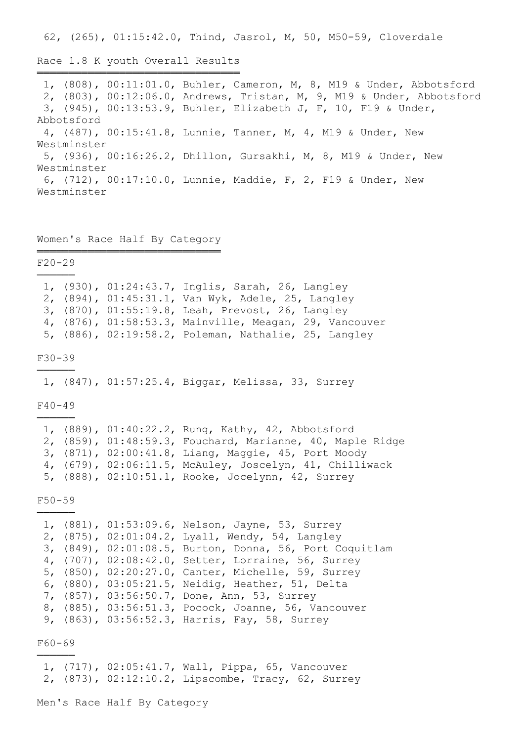62, (265), 01:15:42.0, Thind, Jasrol, M, 50, M50-59, Cloverdale

Race 1.8 K youth Overall Results

════════════════════════════════ 1, (808), 00:11:01.0, Buhler, Cameron, M, 8, M19 & Under, Abbotsford 2, (803), 00:12:06.0, Andrews, Tristan, M, 9, M19 & Under, Abbotsford 3, (945), 00:13:53.9, Buhler, Elizabeth J, F, 10, F19 & Under, Abbotsford 4, (487), 00:15:41.8, Lunnie, Tanner, M, 4, M19 & Under, New Westminster 5, (936), 00:16:26.2, Dhillon, Gursakhi, M, 8, M19 & Under, New Westminster 6, (712), 00:17:10.0, Lunnie, Maddie, F, 2, F19 & Under, New Westminster

## Women's Race Half By Category ═════════════════════════════

F20-29

|  | 1, (930), 01:24:43.7, Inglis, Sarah, 26, Langley       |
|--|--------------------------------------------------------|
|  | 2, (894), 01:45:31.1, Van Wyk, Adele, 25, Langley      |
|  | 3, (870), 01:55:19.8, Leah, Prevost, 26, Langley       |
|  | 4, (876), 01:58:53.3, Mainville, Meagan, 29, Vancouver |
|  | 5, (886), 02:19:58.2, Poleman, Nathalie, 25, Langley   |

F30-39 ──────

1, (847), 01:57:25.4, Biggar, Melissa, 33, Surrey

 $F40-49$ ──────

|  | 1, (889), 01:40:22.2, Rung, Kathy, 42, Abbotsford         |
|--|-----------------------------------------------------------|
|  | 2, (859), 01:48:59.3, Fouchard, Marianne, 40, Maple Ridge |
|  | 3, (871), 02:00:41.8, Liang, Maggie, 45, Port Moody       |
|  | 4, (679), 02:06:11.5, McAuley, Joscelyn, 41, Chilliwack   |
|  | 5, (888), 02:10:51.1, Rooke, Jocelynn, 42, Surrey         |

F50-59 ──────

|  | 1, (881), 01:53:09.6, Nelson, Jayne, 53, Surrey         |
|--|---------------------------------------------------------|
|  | 2, (875), 02:01:04.2, Lyall, Wendy, 54, Langley         |
|  | 3, (849), 02:01:08.5, Burton, Donna, 56, Port Coquitlam |
|  | 4, (707), 02:08:42.0, Setter, Lorraine, 56, Surrey      |
|  | 5, (850), 02:20:27.0, Canter, Michelle, 59, Surrey      |
|  | 6, (880), 03:05:21.5, Neidig, Heather, 51, Delta        |
|  | 7, (857), 03:56:50.7, Done, Ann, 53, Surrey             |
|  | 8, (885), 03:56:51.3, Pocock, Joanne, 56, Vancouver     |
|  | 9, (863), 03:56:52.3, Harris, Fay, 58, Surrey           |
|  |                                                         |

F60-69 ──────

> 1, (717), 02:05:41.7, Wall, Pippa, 65, Vancouver 2, (873), 02:12:10.2, Lipscombe, Tracy, 62, Surrey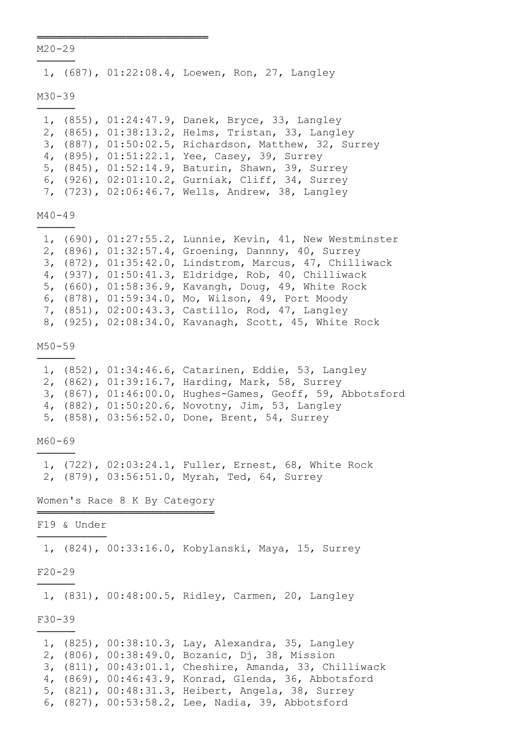M20-29 ──────

═══════════════════════════

1, (687), 01:22:08.4, Loewen, Ron, 27, Langley

M30-39

|  | 1, (855), 01:24:47.9, Danek, Bryce, 33, Langley       |
|--|-------------------------------------------------------|
|  | 2, (865), 01:38:13.2, Helms, Tristan, 33, Langley     |
|  | 3, (887), 01:50:02.5, Richardson, Matthew, 32, Surrey |
|  | 4, (895), 01:51:22.1, Yee, Casey, 39, Surrey          |
|  | 5, (845), 01:52:14.9, Baturin, Shawn, 39, Surrey      |
|  | 6, (926), 02:01:10.2, Gurniak, Cliff, 34, Surrey      |
|  | 7, (723), 02:06:46.7, Wells, Andrew, 38, Langley      |

M40-49 ──────

|  | 1, (690), 01:27:55.2, Lunnie, Kevin, 41, New Westminster |
|--|----------------------------------------------------------|
|  | 2, (896), 01:32:57.4, Groening, Dannny, 40, Surrey       |
|  | 3, (872), 01:35:42.0, Lindstrom, Marcus, 47, Chilliwack  |
|  | 4, (937), 01:50:41.3, Eldridge, Rob, 40, Chilliwack      |
|  | 5, (660), 01:58:36.9, Kavangh, Doug, 49, White Rock      |
|  | 6, (878), 01:59:34.0, Mo, Wilson, 49, Port Moody         |
|  | 7, (851), 02:00:43.3, Castillo, Rod, 47, Langley         |
|  | 8, (925), 02:08:34.0, Kavanagh, Scott, 45, White Rock    |
|  |                                                          |

M50-59

|  | 1, (852), 01:34:46.6, Catarinen, Eddie, 53, Langley       |
|--|-----------------------------------------------------------|
|  | 2, (862), 01:39:16.7, Harding, Mark, 58, Surrey           |
|  | 3, (867), 01:46:00.0, Hughes-Games, Geoff, 59, Abbotsford |
|  | 4, (882), 01:50:20.6, Novotny, Jim, 53, Langley           |
|  | 5, (858), 03:56:52.0, Done, Brent, 54, Surrey             |

M60-69 ──────

> 1, (722), 02:03:24.1, Fuller, Ernest, 68, White Rock 2, (879), 03:56:51.0, Myrah, Ted, 64, Surrey

Women's Race 8 K By Category ════════════════════════════

F19 & Under ───────────

1, (824), 00:33:16.0, Kobylanski, Maya, 15, Surrey

F20-29 ──────

1, (831), 00:48:00.5, Ridley, Carmen, 20, Langley

F30-39 ──────

|  | 1, (825), 00:38:10.3, Lay, Alexandra, 35, Langley      |
|--|--------------------------------------------------------|
|  | 2, (806), 00:38:49.0, Bozanic, Dj, 38, Mission         |
|  | 3, (811), 00:43:01.1, Cheshire, Amanda, 33, Chilliwack |
|  | 4, (869), 00:46:43.9, Konrad, Glenda, 36, Abbotsford   |
|  | 5, (821), 00:48:31.3, Heibert, Angela, 38, Surrey      |
|  | 6, (827), 00:53:58.2, Lee, Nadia, 39, Abbotsford       |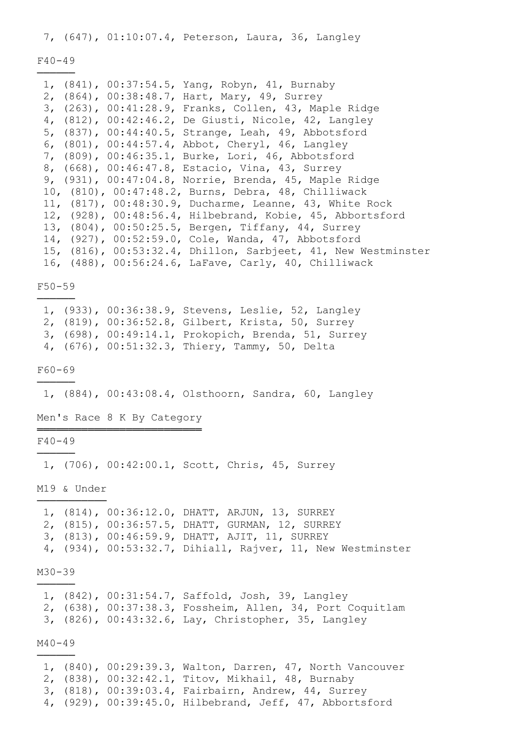7, (647), 01:10:07.4, Peterson, Laura, 36, Langley

#### F40-49

|  | 1, (841), 00:37:54.5, Yang, Robyn, 41, Burnaby                |
|--|---------------------------------------------------------------|
|  | 2, (864), 00:38:48.7, Hart, Mary, 49, Surrey                  |
|  | 3, (263), 00:41:28.9, Franks, Collen, 43, Maple Ridge         |
|  | 4, (812), 00:42:46.2, De Giusti, Nicole, 42, Langley          |
|  | 5, (837), 00:44:40.5, Strange, Leah, 49, Abbotsford           |
|  | 6, (801), 00:44:57.4, Abbot, Cheryl, 46, Langley              |
|  | 7, (809), 00:46:35.1, Burke, Lori, 46, Abbotsford             |
|  | 8, (668), 00:46:47.8, Estacio, Vina, 43, Surrey               |
|  | 9, (931), 00:47:04.8, Norrie, Brenda, 45, Maple Ridge         |
|  | 10, (810), 00:47:48.2, Burns, Debra, 48, Chilliwack           |
|  | 11, (817), 00:48:30.9, Ducharme, Leanne, 43, White Rock       |
|  | 12, (928), 00:48:56.4, Hilbebrand, Kobie, 45, Abbortsford     |
|  | 13, (804), 00:50:25.5, Bergen, Tiffany, 44, Surrey            |
|  | 14, (927), 00:52:59.0, Cole, Wanda, 47, Abbotsford            |
|  | 15, (816), 00:53:32.4, Dhillon, Sarbjeet, 41, New Westminster |
|  | 16, (488), 00:56:24.6, LaFave, Carly, 40, Chilliwack          |

# F50-59 ──────

 1, (933), 00:36:38.9, Stevens, Leslie, 52, Langley 2, (819), 00:36:52.8, Gilbert, Krista, 50, Surrey 3, (698), 00:49:14.1, Prokopich, Brenda, 51, Surrey 4, (676), 00:51:32.3, Thiery, Tammy, 50, Delta

F60-69 ──────

1, (884), 00:43:08.4, Olsthoorn, Sandra, 60, Langley

Men's Race 8 K By Category ══════════════════════════

F40-49 ──────

1, (706), 00:42:00.1, Scott, Chris, 45, Surrey

M19 & Under ───────────

 1, (814), 00:36:12.0, DHATT, ARJUN, 13, SURREY 2, (815), 00:36:57.5, DHATT, GURMAN, 12, SURREY 3, (813), 00:46:59.9, DHATT, AJIT, 11, SURREY 4, (934), 00:53:32.7, Dihiall, Rajver, 11, New Westminster

## M30-39 ──────

 1, (842), 00:31:54.7, Saffold, Josh, 39, Langley 2, (638), 00:37:38.3, Fossheim, Allen, 34, Port Coquitlam 3, (826), 00:43:32.6, Lay, Christopher, 35, Langley

M40-49 ──────

> 1, (840), 00:29:39.3, Walton, Darren, 47, North Vancouver 2, (838), 00:32:42.1, Titov, Mikhail, 48, Burnaby 3, (818), 00:39:03.4, Fairbairn, Andrew, 44, Surrey 4, (929), 00:39:45.0, Hilbebrand, Jeff, 47, Abbortsford